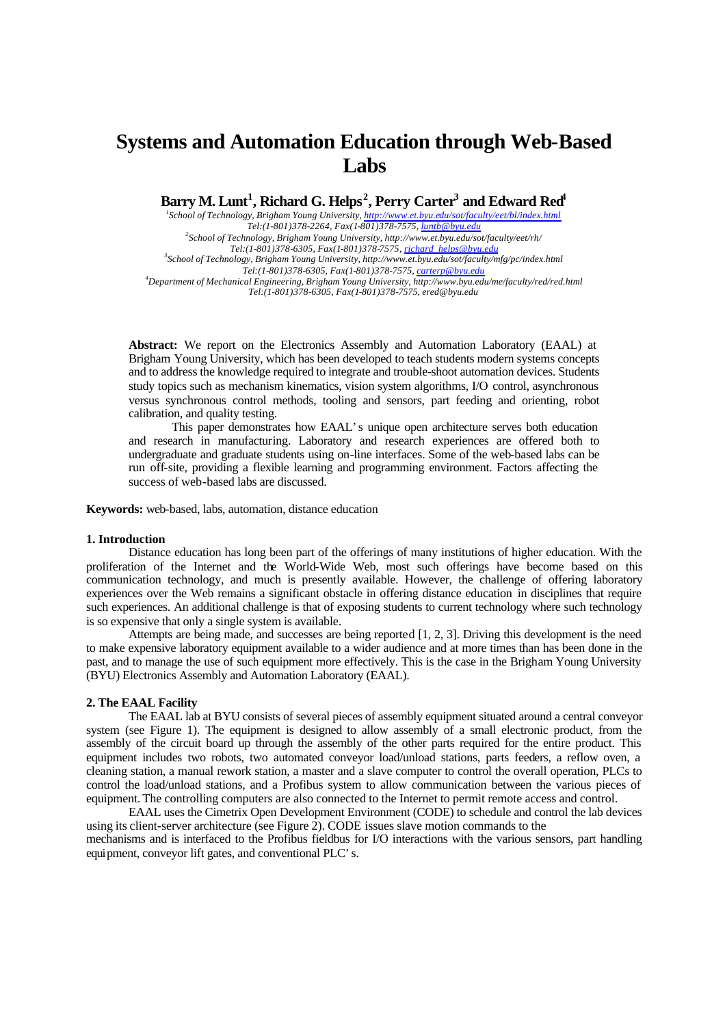# **Systems and Automation Education through Web-Based Labs**

**Barry M. Lunt<sup>1</sup> , Richard G. Helps<sup>2</sup> , Perry Carter<sup>3</sup> and Edward Red<sup>4</sup>**

*1 School of Technology, Brigham Young University, http://www.et.byu.edu/sot/faculty/eet/bl/index.html Tel:(1-801)378-2264, Fax(1-801)378-7575, luntb@byu.edu 2 School of Technology, Brigham Young University, http://www.et.byu.edu/sot/faculty/eet/rh/ Tel:(1-801)378-6305, Fax(1-801)378-7575, richard\_helps@byu.edu 3 School of Technology, Brigham Young University, http://www.et.byu.edu/sot/faculty/mfg/pc/index.html Tel:(1-801)378-6305, Fax(1-801)378-7575, carterp@byu.edu <sup>4</sup>Department of Mechanical Engineering, Brigham Young University, http://www.byu.edu/me/faculty/red/red.html Tel:(1-801)378-6305, Fax(1-801)378-7575, ered@byu.edu*

**Abstract:** We report on the Electronics Assembly and Automation Laboratory (EAAL) at Brigham Young University, which has been developed to teach students modern systems concepts and to address the knowledge required to integrate and trouble-shoot automation devices. Students study topics such as mechanism kinematics, vision system algorithms, I/O control, asynchronous versus synchronous control methods, tooling and sensors, part feeding and orienting, robot calibration, and quality testing.

This paper demonstrates how EAAL's unique open architecture serves both education and research in manufacturing. Laboratory and research experiences are offered both to undergraduate and graduate students using on-line interfaces. Some of the web-based labs can be run off-site, providing a flexible learning and programming environment. Factors affecting the success of web-based labs are discussed.

**Keywords:** web-based, labs, automation, distance education

### **1. Introduction**

Distance education has long been part of the offerings of many institutions of higher education. With the proliferation of the Internet and the World-Wide Web, most such offerings have become based on this communication technology, and much is presently available. However, the challenge of offering laboratory experiences over the Web remains a significant obstacle in offering distance education in disciplines that require such experiences. An additional challenge is that of exposing students to current technology where such technology is so expensive that only a single system is available.

Attempts are being made, and successes are being reported [1, 2, 3]. Driving this development is the need to make expensive laboratory equipment available to a wider audience and at more times than has been done in the past, and to manage the use of such equipment more effectively. This is the case in the Brigham Young University (BYU) Electronics Assembly and Automation Laboratory (EAAL).

#### **2. The EAAL Facility**

The EAAL lab at BYU consists of several pieces of assembly equipment situated around a central conveyor system (see Figure 1). The equipment is designed to allow assembly of a small electronic product, from the assembly of the circuit board up through the assembly of the other parts required for the entire product. This equipment includes two robots, two automated conveyor load/unload stations, parts feeders, a reflow oven, a cleaning station, a manual rework station, a master and a slave computer to control the overall operation, PLCs to control the load/unload stations, and a Profibus system to allow communication between the various pieces of equipment. The controlling computers are also connected to the Internet to permit remote access and control.

EAAL uses the Cimetrix Open Development Environment (CODE) to schedule and control the lab devices using its client-server architecture (see Figure 2). CODE issues slave motion commands to the mechanisms and is interfaced to the Profibus fieldbus for I/O interactions with the various sensors, part handling equipment, conveyor lift gates, and conventional PLC's.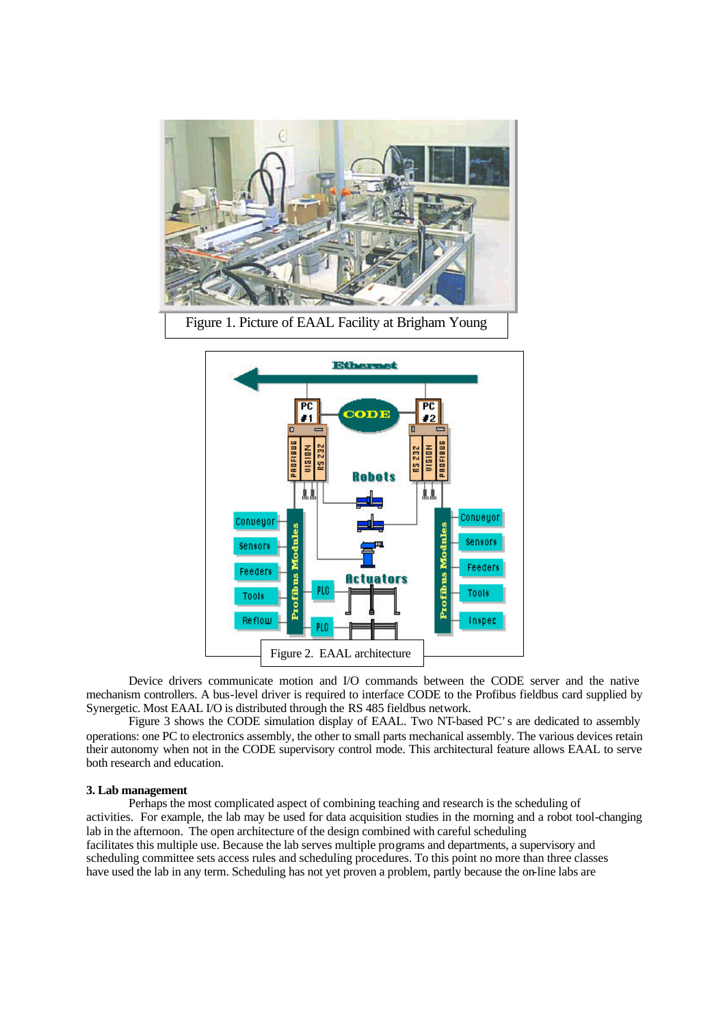

Figure 1. Picture of EAAL Facility at Brigham Young



Device drivers communicate motion and I/O commands between the CODE server and the native mechanism controllers. A bus-level driver is required to interface CODE to the Profibus fieldbus card supplied by Synergetic. Most EAAL I/O is distributed through the RS 485 fieldbus network.

Figure 3 shows the CODE simulation display of EAAL. Two NT-based PC's are dedicated to assembly operations: one PC to electronics assembly, the other to small parts mechanical assembly. The various devices retain their autonomy when not in the CODE supervisory control mode. This architectural feature allows EAAL to serve both research and education.

## **3. Lab management**

Perhaps the most complicated aspect of combining teaching and research is the scheduling of activities. For example, the lab may be used for data acquisition studies in the morning and a robot tool-changing lab in the afternoon. The open architecture of the design combined with careful scheduling facilitates this multiple use. Because the lab serves multiple programs and departments, a supervisory and scheduling committee sets access rules and scheduling procedures. To this point no more than three classes have used the lab in any term. Scheduling has not yet proven a problem, partly because the on-line labs are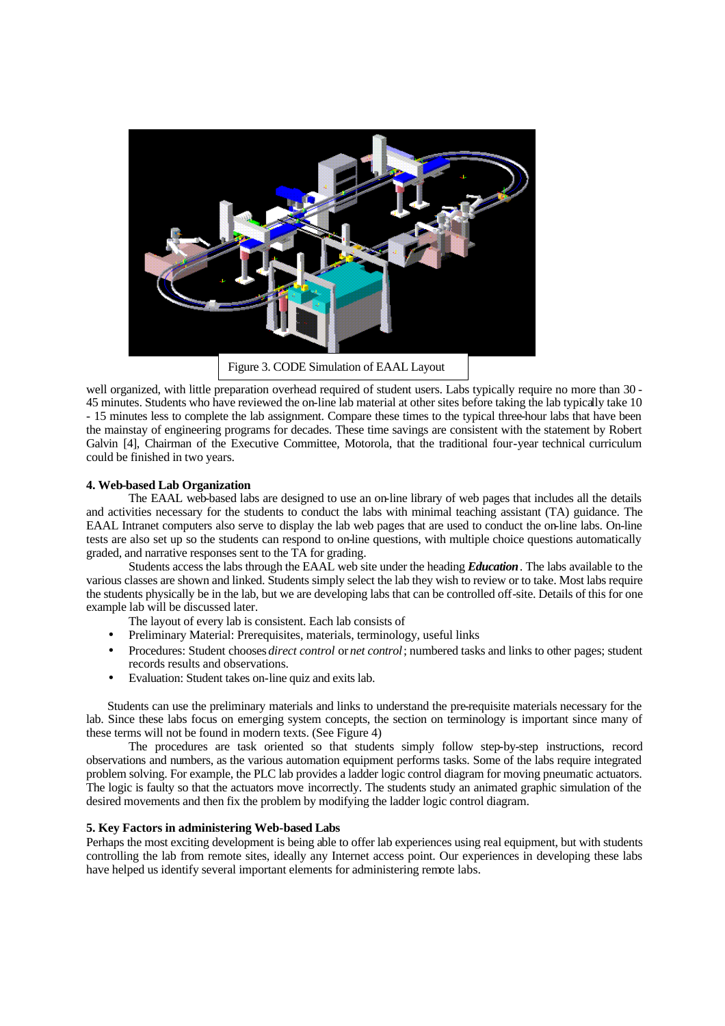

Figure 3. CODE Simulation of EAAL Layout

well organized, with little preparation overhead required of student users. Labs typically require no more than 30 - 45 minutes. Students who have reviewed the on-line lab material at other sites before taking the lab typically take 10 - 15 minutes less to complete the lab assignment. Compare these times to the typical three-hour labs that have been the mainstay of engineering programs for decades. These time savings are consistent with the statement by Robert Galvin [4], Chairman of the Executive Committee, Motorola, that the traditional four-year technical curriculum could be finished in two years.

# **4. Web-based Lab Organization**

The EAAL web-based labs are designed to use an on-line library of web pages that includes all the details and activities necessary for the students to conduct the labs with minimal teaching assistant (TA) guidance. The EAAL Intranet computers also serve to display the lab web pages that are used to conduct the on-line labs. On-line tests are also set up so the students can respond to on-line questions, with multiple choice questions automatically graded, and narrative responses sent to the TA for grading.

Students access the labs through the EAAL web site under the heading *Education*. The labs available to the various classes are shown and linked. Students simply select the lab they wish to review or to take. Most labs require the students physically be in the lab, but we are developing labs that can be controlled off-site. Details of this for one example lab will be discussed later.

The layout of every lab is consistent. Each lab consists of

- Preliminary Material: Prerequisites, materials, terminology, useful links
- Procedures: Student chooses *direct control* or *net control*; numbered tasks and links to other pages; student records results and observations.
- Evaluation: Student takes on-line quiz and exits lab.

Students can use the preliminary materials and links to understand the pre-requisite materials necessary for the lab. Since these labs focus on emerging system concepts, the section on terminology is important since many of these terms will not be found in modern texts. (See Figure 4)

The procedures are task oriented so that students simply follow step-by-step instructions, record observations and numbers, as the various automation equipment performs tasks. Some of the labs require integrated problem solving. For example, the PLC lab provides a ladder logic control diagram for moving pneumatic actuators. The logic is faulty so that the actuators move incorrectly. The students study an animated graphic simulation of the desired movements and then fix the problem by modifying the ladder logic control diagram.

## **5. Key Factors in administering Web-based Labs**

Perhaps the most exciting development is being able to offer lab experiences using real equipment, but with students controlling the lab from remote sites, ideally any Internet access point. Our experiences in developing these labs have helped us identify several important elements for administering remote labs.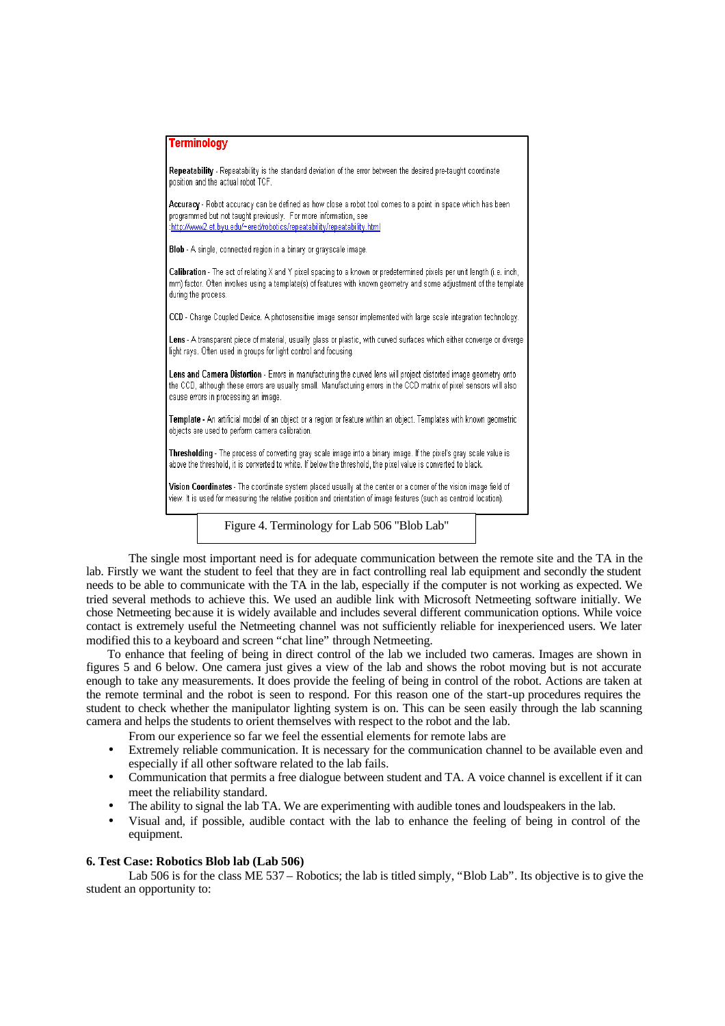| <b>Terminology</b>                                                                                                                                                                                                                                                             |
|--------------------------------------------------------------------------------------------------------------------------------------------------------------------------------------------------------------------------------------------------------------------------------|
| Repeatability - Repeatability is the standard deviation of the error between the desired pre-taught coordinate<br>position and the actual robot TCF.                                                                                                                           |
| Accuracy - Robot accuracy can be defined as how close a robot tool comes to a point in space which has been<br>programmed but not taught previously. For more information, see<br>:http://www2.et.byu.edu/~ered/robotics/repeatability/repeatability.html                      |
| Blob - A single, connected region in a binary or grayscale image.                                                                                                                                                                                                              |
| Calibration - The act of relating X and Y pixel spacing to a known or predetermined pixels per unit length (i.e. inch,<br>mm) factor. Often involves using a template(s) of features with known geometry and some adjustment of the template<br>during the process.            |
| CCD - Charge Coupled Device. A photosensitive image sensor implemented with large scale integration technology.                                                                                                                                                                |
| Lens - A transparent piece of material, usually glass or plastic, with curved surfaces which either converge or diverge<br>light rays. Often used in groups for light control and focusing.                                                                                    |
| Lens and Camera Distortion - Errors in manufacturing the curved lens will project distorted image geometry onto<br>the CCD, although these errors are usually small. Manufacturing errors in the CCD matrix of pixel sensors will also<br>cause errors in processing an image. |
| Template - An artificial model of an object or a region or feature within an object. Templates with known geometric<br>objects are used to perform camera calibration.                                                                                                         |
| Thresholding - The process of converting gray scale image into a binary image. If the pixel's gray scale value is<br>above the threshold, it is converted to white. If below the threshold, the pixel value is converted to black.                                             |
| Vision Coordinates - The coordinate system placed usually at the center or a corner of the vision image field of<br>view. It is used for measuring the relative position and orientation of image features (such as centroid location).                                        |

Figure 4. Terminology for Lab 506 "Blob Lab"

The single most important need is for adequate communication between the remote site and the TA in the lab. Firstly we want the student to feel that they are in fact controlling real lab equipment and secondly the student needs to be able to communicate with the TA in the lab, especially if the computer is not working as expected. We tried several methods to achieve this. We used an audible link with Microsoft Netmeeting software initially. We chose Netmeeting because it is widely available and includes several different communication options. While voice contact is extremely useful the Netmeeting channel was not sufficiently reliable for inexperienced users. We later modified this to a keyboard and screen "chat line" through Netmeeting.

To enhance that feeling of being in direct control of the lab we included two cameras. Images are shown in figures 5 and 6 below. One camera just gives a view of the lab and shows the robot moving but is not accurate enough to take any measurements. It does provide the feeling of being in control of the robot. Actions are taken at the remote terminal and the robot is seen to respond. For this reason one of the start-up procedures requires the student to check whether the manipulator lighting system is on. This can be seen easily through the lab scanning camera and helps the students to orient themselves with respect to the robot and the lab.

- From our experience so far we feel the essential elements for remote labs are
- Extremely reliable communication. It is necessary for the communication channel to be available even and especially if all other software related to the lab fails.
- Communication that permits a free dialogue between student and TA. A voice channel is excellent if it can meet the reliability standard.
- The ability to signal the lab TA. We are experimenting with audible tones and loudspeakers in the lab.
- Visual and, if possible, audible contact with the lab to enhance the feeling of being in control of the equipment.

# **6. Test Case: Robotics Blob lab (Lab 506)**

Lab 506 is for the class ME 537 – Robotics; the lab is titled simply, "Blob Lab". Its objective is to give the student an opportunity to: